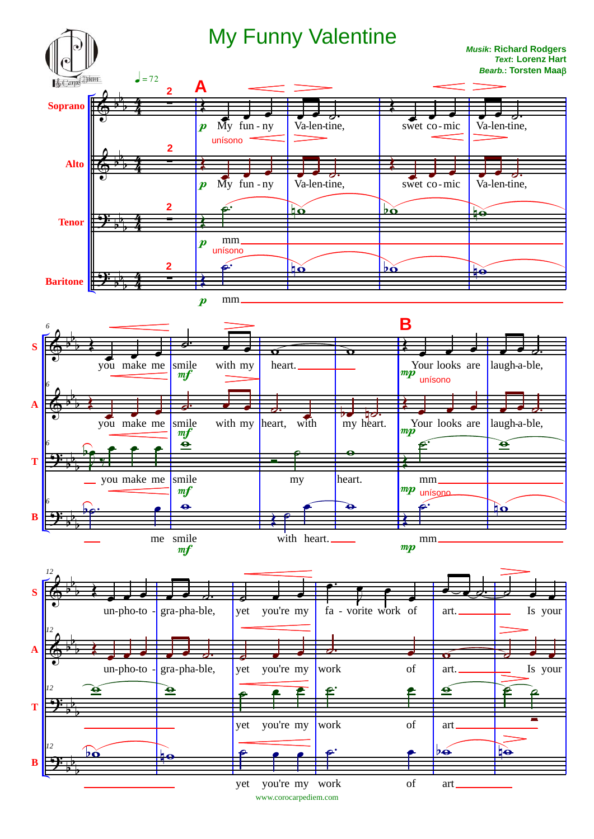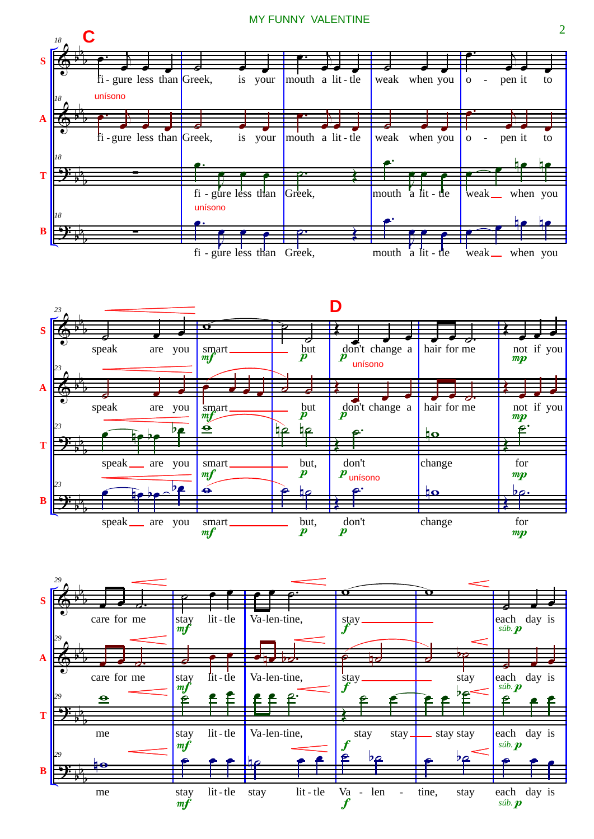## MY FUNNY VALENTINE





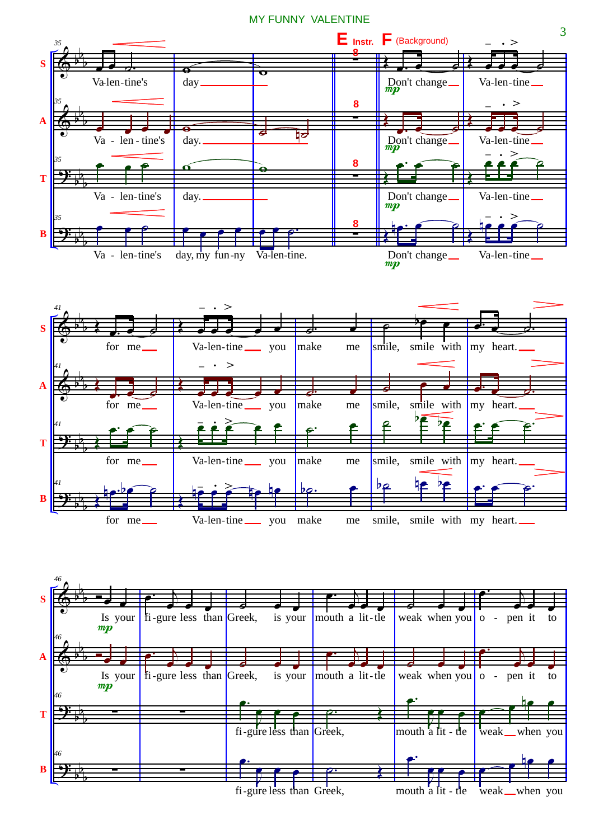MY FUNNY VALENTINE